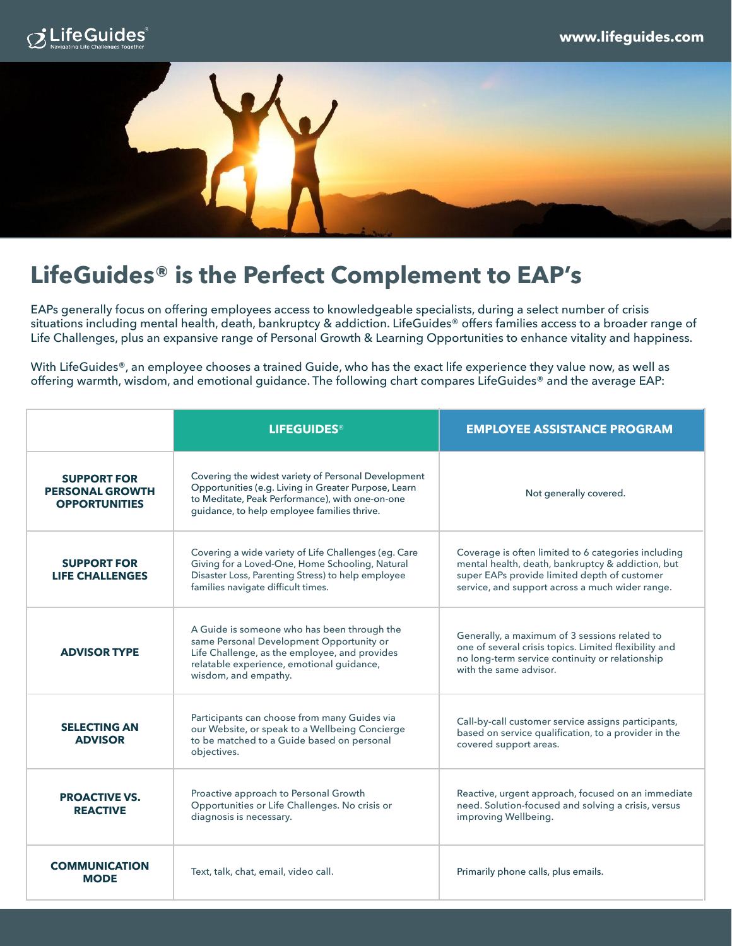



## **LifeGuides® is the Perfect Complement to EAP's**

EAPs generally focus on offering employees access to knowledgeable specialists, during a select number of crisis situations including mental health, death, bankruptcy & addiction. LifeGuides® offers families access to a broader range of Life Challenges, plus an expansive range of Personal Growth & Learning Opportunities to enhance vitality and happiness.

With LifeGuides®, an employee chooses a trained Guide, who has the exact life experience they value now, as well as offering warmth, wisdom, and emotional guidance. The following chart compares LifeGuides® and the average EAP:

|                                                                      | <b>LIFEGUIDES<sup>®</sup></b>                                                                                                                                                                                 | <b>EMPLOYEE ASSISTANCE PROGRAM</b>                                                                                                                                                                          |
|----------------------------------------------------------------------|---------------------------------------------------------------------------------------------------------------------------------------------------------------------------------------------------------------|-------------------------------------------------------------------------------------------------------------------------------------------------------------------------------------------------------------|
| <b>SUPPORT FOR</b><br><b>PERSONAL GROWTH</b><br><b>OPPORTUNITIES</b> | Covering the widest variety of Personal Development<br>Opportunities (e.g. Living in Greater Purpose, Learn<br>to Meditate, Peak Performance), with one-on-one<br>guidance, to help employee families thrive. | Not generally covered.                                                                                                                                                                                      |
| <b>SUPPORT FOR</b><br><b>LIFE CHALLENGES</b>                         | Covering a wide variety of Life Challenges (eg. Care<br>Giving for a Loved-One, Home Schooling, Natural<br>Disaster Loss, Parenting Stress) to help employee<br>families navigate difficult times.            | Coverage is often limited to 6 categories including<br>mental health, death, bankruptcy & addiction, but<br>super EAPs provide limited depth of customer<br>service, and support across a much wider range. |
| <b>ADVISOR TYPE</b>                                                  | A Guide is someone who has been through the<br>same Personal Development Opportunity or<br>Life Challenge, as the employee, and provides<br>relatable experience, emotional guidance,<br>wisdom, and empathy. | Generally, a maximum of 3 sessions related to<br>one of several crisis topics. Limited flexibility and<br>no long-term service continuity or relationship<br>with the same advisor.                         |
| <b>SELECTING AN</b><br><b>ADVISOR</b>                                | Participants can choose from many Guides via<br>our Website, or speak to a Wellbeing Concierge<br>to be matched to a Guide based on personal<br>objectives.                                                   | Call-by-call customer service assigns participants,<br>based on service qualification, to a provider in the<br>covered support areas.                                                                       |
| <b>PROACTIVE VS.</b><br><b>REACTIVE</b>                              | Proactive approach to Personal Growth<br>Opportunities or Life Challenges. No crisis or<br>diagnosis is necessary.                                                                                            | Reactive, urgent approach, focused on an immediate<br>need. Solution-focused and solving a crisis, versus<br>improving Wellbeing.                                                                           |
| <b>COMMUNICATION</b><br><b>MODE</b>                                  | Text, talk, chat, email, video call.                                                                                                                                                                          | Primarily phone calls, plus emails.                                                                                                                                                                         |